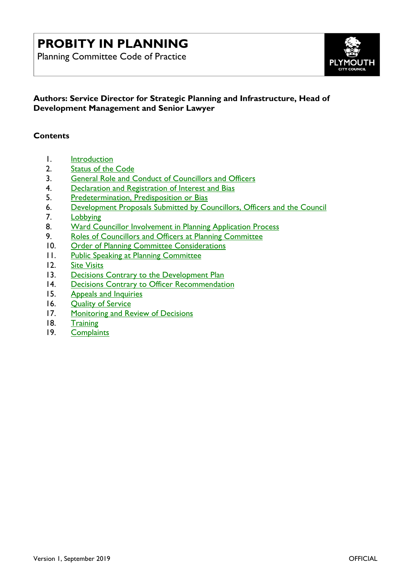# **PROBITY IN PLANNING**

Planning Committee Code of Practice



### **Authors: Service Director for Strategic Planning and Infrastructure, Head of Development Management and Senior Lawyer**

#### **Contents**

- 1. [Introduction](#page-1-0)
- 2. <u>[Status of the Code](#page-2-0)</u><br>3. General Role and C
- 3. [General Role and Conduct of](#page-2-1) Councillors and Officers
- 4. [Declaration and Registration of Interest and Bias](#page-4-0)
- 5. [Predetermination, Predisposition or Bias](#page-7-0)
- 6. [Development Proposals Submitted by](#page-8-0) Councillors, Officers and the Council
- 7. [Lobbying](#page-9-0)
- 8. Ward Councillor [Involvement in Planning](#page-9-1) Application Process
- 9. Roles of Councillors [and Officers at Planning Committee](#page-12-0)
- 10. [Order of Planning Committee Considerations](#page-13-0)
- 11. [Public Speaking at Planning Committee](#page-14-0)
- 12. [Site Visits](#page-16-0)
- 13. [Decisions Contrary to the Development Plan](#page-18-0)
- 14. [Decisions Contrary to Officer Recommendation](#page-18-1)
- 15. [Appeals and Inquiries](#page-20-0)
- 16. [Quality of Service](#page-21-0)
- 17. [Monitoring and Review of Decisions](#page-21-1)
- 18. [Training](#page-22-0)
- 19. [Complaints](#page-23-0)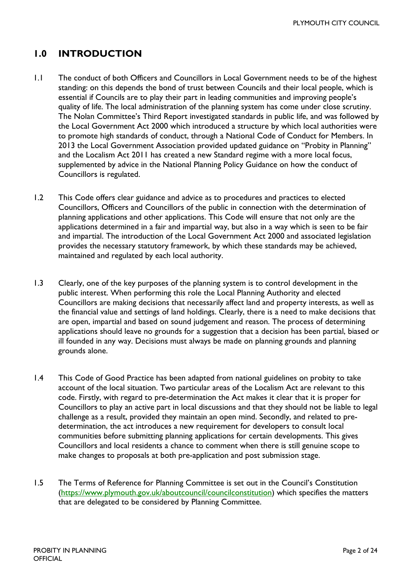### <span id="page-1-0"></span>**1.0 INTRODUCTION**

- 1.1 The conduct of both Officers and Councillors in Local Government needs to be of the highest standing: on this depends the bond of trust between Councils and their local people, which is essential if Councils are to play their part in leading communities and improving people's quality of life. The local administration of the planning system has come under close scrutiny. The Nolan Committee's Third Report investigated standards in public life, and was followed by the Local Government Act 2000 which introduced a structure by which local authorities were to promote high standards of conduct, through a National Code of Conduct for Members. In 2013 the Local Government Association provided updated guidance on "Probity in Planning" and the Localism Act 2011 has created a new Standard regime with a more local focus, supplemented by advice in the National Planning Policy Guidance on how the conduct of Councillors is regulated.
- 1.2 This Code offers clear guidance and advice as to procedures and practices to elected Councillors, Officers and Councillors of the public in connection with the determination of planning applications and other applications. This Code will ensure that not only are the applications determined in a fair and impartial way, but also in a way which is seen to be fair and impartial. The introduction of the Local Government Act 2000 and associated legislation provides the necessary statutory framework, by which these standards may be achieved, maintained and regulated by each local authority.
- 1.3 Clearly, one of the key purposes of the planning system is to control development in the public interest. When performing this role the Local Planning Authority and elected Councillors are making decisions that necessarily affect land and property interests, as well as the financial value and settings of land holdings. Clearly, there is a need to make decisions that are open, impartial and based on sound judgement and reason. The process of determining applications should leave no grounds for a suggestion that a decision has been partial, biased or ill founded in any way. Decisions must always be made on planning grounds and planning grounds alone.
- 1.4 This Code of Good Practice has been adapted from national guidelines on probity to take account of the local situation. Two particular areas of the Localism Act are relevant to this code. Firstly, with regard to pre-determination the Act makes it clear that it is proper for Councillors to play an active part in local discussions and that they should not be liable to legal challenge as a result, provided they maintain an open mind. Secondly, and related to predetermination, the act introduces a new requirement for developers to consult local communities before submitting planning applications for certain developments. This gives Councillors and local residents a chance to comment when there is still genuine scope to make changes to proposals at both pre-application and post submission stage.
- 1.5 The Terms of Reference for Planning Committee is set out in the Council's Constitution [\(https://www.plymouth.gov.uk/aboutcouncil/councilconstitution\)](https://www.plymouth.gov.uk/aboutcouncil/councilconstitution) which specifies the matters that are delegated to be considered by Planning Committee.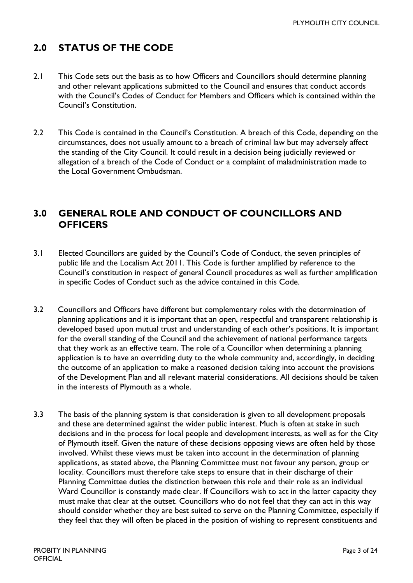### <span id="page-2-0"></span>**2.0 STATUS OF THE CODE**

- 2.1 This Code sets out the basis as to how Officers and Councillors should determine planning and other relevant applications submitted to the Council and ensures that conduct accords with the Council's Codes of Conduct for Members and Officers which is contained within the Council's Constitution.
- 2.2 This Code is contained in the Council's Constitution. A breach of this Code, depending on the circumstances, does not usually amount to a breach of criminal law but may adversely affect the standing of the City Council. It could result in a decision being judicially reviewed or allegation of a breach of the Code of Conduct or a complaint of maladministration made to the Local Government Ombudsman.

### <span id="page-2-1"></span>**3.0 GENERAL ROLE AND CONDUCT OF COUNCILLORS AND OFFICERS**

- 3.1 Elected Councillors are guided by the Council's Code of Conduct, the seven principles of public life and the Localism Act 2011. This Code is further amplified by reference to the Council's constitution in respect of general Council procedures as well as further amplification in specific Codes of Conduct such as the advice contained in this Code.
- 3.2 Councillors and Officers have different but complementary roles with the determination of planning applications and it is important that an open, respectful and transparent relationship is developed based upon mutual trust and understanding of each other's positions. It is important for the overall standing of the Council and the achievement of national performance targets that they work as an effective team. The role of a Councillor when determining a planning application is to have an overriding duty to the whole community and, accordingly, in deciding the outcome of an application to make a reasoned decision taking into account the provisions of the Development Plan and all relevant material considerations. All decisions should be taken in the interests of Plymouth as a whole.
- 3.3 The basis of the planning system is that consideration is given to all development proposals and these are determined against the wider public interest. Much is often at stake in such decisions and in the process for local people and development interests, as well as for the City of Plymouth itself. Given the nature of these decisions opposing views are often held by those involved. Whilst these views must be taken into account in the determination of planning applications, as stated above, the Planning Committee must not favour any person, group or locality. Councillors must therefore take steps to ensure that in their discharge of their Planning Committee duties the distinction between this role and their role as an individual Ward Councillor is constantly made clear. If Councillors wish to act in the latter capacity they must make that clear at the outset. Councillors who do not feel that they can act in this way should consider whether they are best suited to serve on the Planning Committee, especially if they feel that they will often be placed in the position of wishing to represent constituents and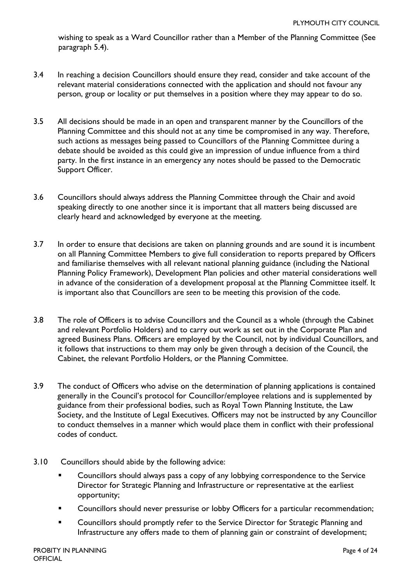wishing to speak as a Ward Councillor rather than a Member of the Planning Committee (See paragraph 5.4).

- 3.4 In reaching a decision Councillors should ensure they read, consider and take account of the relevant material considerations connected with the application and should not favour any person, group or locality or put themselves in a position where they may appear to do so.
- 3.5 All decisions should be made in an open and transparent manner by the Councillors of the Planning Committee and this should not at any time be compromised in any way. Therefore, such actions as messages being passed to Councillors of the Planning Committee during a debate should be avoided as this could give an impression of undue influence from a third party. In the first instance in an emergency any notes should be passed to the Democratic Support Officer.
- 3.6 Councillors should always address the Planning Committee through the Chair and avoid speaking directly to one another since it is important that all matters being discussed are clearly heard and acknowledged by everyone at the meeting.
- 3.7 In order to ensure that decisions are taken on planning grounds and are sound it is incumbent on all Planning Committee Members to give full consideration to reports prepared by Officers and familiarise themselves with all relevant national planning guidance (including the National Planning Policy Framework), Development Plan policies and other material considerations well in advance of the consideration of a development proposal at the Planning Committee itself. It is important also that Councillors are *seen* to be meeting this provision of the code.
- 3.8 The role of Officers is to advise Councillors and the Council as a whole (through the Cabinet and relevant Portfolio Holders) and to carry out work as set out in the Corporate Plan and agreed Business Plans. Officers are employed by the Council, not by individual Councillors, and it follows that instructions to them may only be given through a decision of the Council, the Cabinet, the relevant Portfolio Holders, or the Planning Committee.
- 3.9 The conduct of Officers who advise on the determination of planning applications is contained generally in the Council's protocol for Councillor/employee relations and is supplemented by guidance from their professional bodies, such as Royal Town Planning Institute, the Law Society, and the Institute of Legal Executives. Officers may not be instructed by any Councillor to conduct themselves in a manner which would place them in conflict with their professional codes of conduct.
- 3.10 Councillors should abide by the following advice:
	- Councillors should always pass a copy of any lobbying correspondence to the Service Director for Strategic Planning and Infrastructure or representative at the earliest opportunity;
	- **EXEDENT** Councillors should never pressurise or lobby Officers for a particular recommendation;
	- **EXED:** Councillors should promptly refer to the Service Director for Strategic Planning and Infrastructure any offers made to them of planning gain or constraint of development;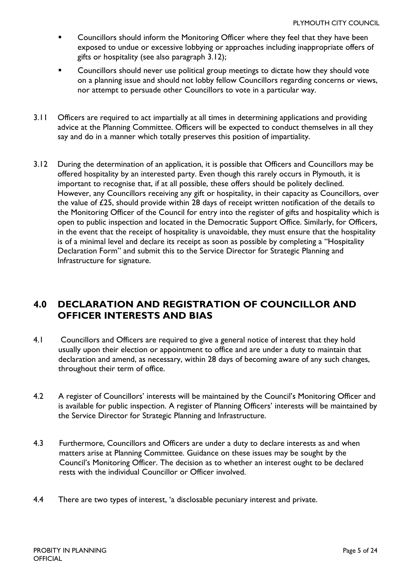- Councillors should inform the Monitoring Officer where they feel that they have been exposed to undue or excessive lobbying or approaches including inappropriate offers of gifts or hospitality (see also paragraph 3.12);
- Councillors should never use political group meetings to dictate how they should vote on a planning issue and should not lobby fellow Councillors regarding concerns or views, nor attempt to persuade other Councillors to vote in a particular way.
- 3.11 Officers are required to act impartially at all times in determining applications and providing advice at the Planning Committee. Officers will be expected to conduct themselves in all they say and do in a manner which totally preserves this position of impartiality.
- 3.12 During the determination of an application, it is possible that Officers and Councillors may be offered hospitality by an interested party. Even though this rarely occurs in Plymouth, it is important to recognise that, if at all possible, these offers should be politely declined. However, any Councillors receiving any gift or hospitality, in their capacity as Councillors, over the value of £25, should provide within 28 days of receipt written notification of the details to the Monitoring Officer of the Council for entry into the register of gifts and hospitality which is open to public inspection and located in the Democratic Support Office. Similarly, for Officers, in the event that the receipt of hospitality is unavoidable, they must ensure that the hospitality is of a minimal level and declare its receipt as soon as possible by completing a "Hospitality Declaration Form" and submit this to the Service Director for Strategic Planning and Infrastructure for signature.

### <span id="page-4-0"></span>**4.0 DECLARATION AND REGISTRATION OF COUNCILLOR AND OFFICER INTERESTS AND BIAS**

- 4.1 Councillors and Officers are required to give a general notice of interest that they hold usually upon their election or appointment to office and are under a duty to maintain that declaration and amend, as necessary, within 28 days of becoming aware of any such changes, throughout their term of office.
- 4.2 A register of Councillors' interests will be maintained by the Council's Monitoring Officer and is available for public inspection. A register of Planning Officers' interests will be maintained by the Service Director for Strategic Planning and Infrastructure.
- 4.3 Furthermore, Councillors and Officers are under a duty to declare interests as and when matters arise at Planning Committee. Guidance on these issues may be sought by the Council's Monitoring Officer. The decision as to whether an interest ought to be declared rests with the individual Councillor or Officer involved.
- 4.4 There are two types of interest, 'a disclosable pecuniary interest and private.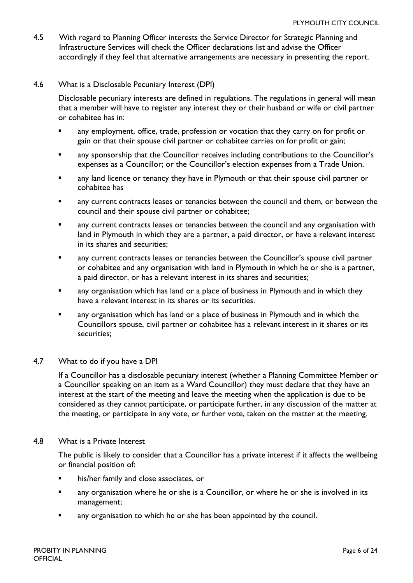- 4.5 With regard to Planning Officer interests the Service Director for Strategic Planning and Infrastructure Services will check the Officer declarations list and advise the Officer accordingly if they feel that alternative arrangements are necessary in presenting the report.
- 4.6 What is a Disclosable Pecuniary Interest (DPI)

Disclosable pecuniary interests are defined in regulations. The regulations in general will mean that a member will have to register any interest they or their husband or wife or civil partner or cohabitee has in:

- any employment, office, trade, profession or vocation that they carry on for profit or gain or that their spouse civil partner or cohabitee carries on for profit or gain;
- any sponsorship that the Councillor receives including contributions to the Councillor's expenses as a Councillor; or the Councillor's election expenses from a Trade Union.
- any land licence or tenancy they have in Plymouth or that their spouse civil partner or cohabitee has
- any current contracts leases or tenancies between the council and them, or between the council and their spouse civil partner or cohabitee;
- any current contracts leases or tenancies between the council and any organisation with land in Plymouth in which they are a partner, a paid director, or have a relevant interest in its shares and securities;
- any current contracts leases or tenancies between the Councillor's spouse civil partner or cohabitee and any organisation with land in Plymouth in which he or she is a partner, a paid director, or has a relevant interest in its shares and securities;
- any organisation which has land or a place of business in Plymouth and in which they have a relevant interest in its shares or its securities.
- any organisation which has land or a place of business in Plymouth and in which the Councillors spouse, civil partner or cohabitee has a relevant interest in it shares or its securities;

#### 4.7 What to do if you have a DPI

If a Councillor has a disclosable pecuniary interest (whether a Planning Committee Member or a Councillor speaking on an item as a Ward Councillor) they must declare that they have an interest at the start of the meeting and leave the meeting when the application is due to be considered as they cannot participate, or participate further, in any discussion of the matter at the meeting, or participate in any vote, or further vote, taken on the matter at the meeting.

#### 4.8 What is a Private Interest

The public is likely to consider that a Councillor has a private interest if it affects the wellbeing or financial position of:

- his/her family and close associates, or
- any organisation where he or she is a Councillor, or where he or she is involved in its management;
- any organisation to which he or she has been appointed by the council.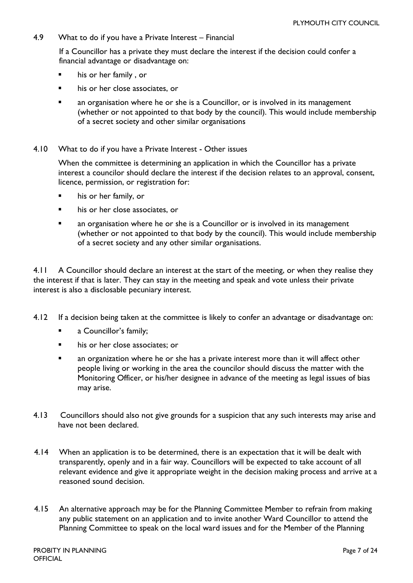4.9 What to do if you have a Private Interest – Financial

If a Councillor has a private they must declare the interest if the decision could confer a financial advantage or disadvantage on:

- his or her family , or
- his or her close associates, or
- an organisation where he or she is a Councillor, or is involved in its management (whether or not appointed to that body by the council). This would include membership of a secret society and other similar organisations
- 4.10 What to do if you have a Private Interest Other issues

When the committee is determining an application in which the Councillor has a private interest a councilor should declare the interest if the decision relates to an approval, consent, licence, permission, or registration for:

- his or her family, or
- **his or her close associates, or**
- an organisation where he or she is a Councillor or is involved in its management (whether or not appointed to that body by the council). This would include membership of a secret society and any other similar organisations.

4.11 A Councillor should declare an interest at the start of the meeting, or when they realise they the interest if that is later. They can stay in the meeting and speak and vote unless their private interest is also a disclosable pecuniary interest.

- 4.12 If a decision being taken at the committee is likely to confer an advantage or disadvantage on:
	- a Councillor's family;
	- his or her close associates; or
	- an organization where he or she has a private interest more than it will affect other people living or working in the area the councilor should discuss the matter with the Monitoring Officer, or his/her designee in advance of the meeting as legal issues of bias may arise.
- 4.13 Councillors should also not give grounds for a suspicion that any such interests may arise and have not been declared.
- 4.14 When an application is to be determined, there is an expectation that it will be dealt with transparently, openly and in a fair way. Councillors will be expected to take account of all relevant evidence and give it appropriate weight in the decision making process and arrive at a reasoned sound decision.
- 4.15 An alternative approach may be for the Planning Committee Member to refrain from making any public statement on an application and to invite another Ward Councillor to attend the Planning Committee to speak on the local ward issues and for the Member of the Planning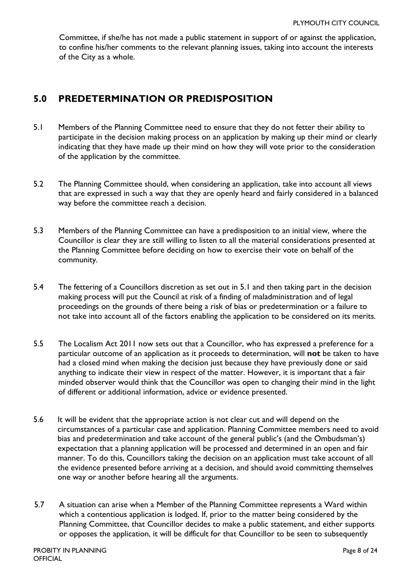Committee, if she/he has not made a public statement in support of or against the application, to confine his/her comments to the relevant planning issues, taking into account the interests of the City as a whole.

### <span id="page-7-0"></span>**5.0 PREDETERMINATION OR PREDISPOSITION**

- 5.1 Members of the Planning Committee need to ensure that they do not fetter their ability to participate in the decision making process on an application by making up their mind or clearly indicating that they have made up their mind on how they will vote prior to the consideration of the application by the committee.
- 5.2 The Planning Committee should, when considering an application, take into account all views that are expressed in such a way that they are openly heard and fairly considered in a balanced way before the committee reach a decision.
- 5.3 Members of the Planning Committee can have a predisposition to an initial view, where the Councillor is clear they are still willing to listen to all the material considerations presented at the Planning Committee before deciding on how to exercise their vote on behalf of the community.
- 5.4 The fettering of a Councillors discretion as set out in 5.1 and then taking part in the decision making process will put the Council at risk of a finding of maladministration and of legal proceedings on the grounds of there being a risk of bias or predetermination or a failure to not take into account all of the factors enabling the application to be considered on its merits.
- 5.5 The Localism Act 2011 now sets out that a Councillor, who has expressed a preference for a particular outcome of an application as it proceeds to determination, will **not** be taken to have had a closed mind when making the decision just because they have previously done or said anything to indicate their view in respect of the matter. However, it is important that a fair minded observer would think that the Councillor was open to changing their mind in the light of different or additional information, advice or evidence presented.
- 5.6 It will be evident that the appropriate action is not clear cut and will depend on the circumstances of a particular case and application. Planning Committee members need to avoid bias and predetermination and take account of the general public's (and the Ombudsman's) expectation that a planning application will be processed and determined in an open and fair manner. To do this, Councillors taking the decision on an application must take account of all the evidence presented before arriving at a decision, and should avoid committing themselves one way or another before hearing all the arguments.
- 5.7 A situation can arise when a Member of the Planning Committee represents a Ward within which a contentious application is lodged. If, prior to the matter being considered by the Planning Committee, that Councillor decides to make a public statement, and either supports or opposes the application, it will be difficult for that Councillor to be seen to subsequently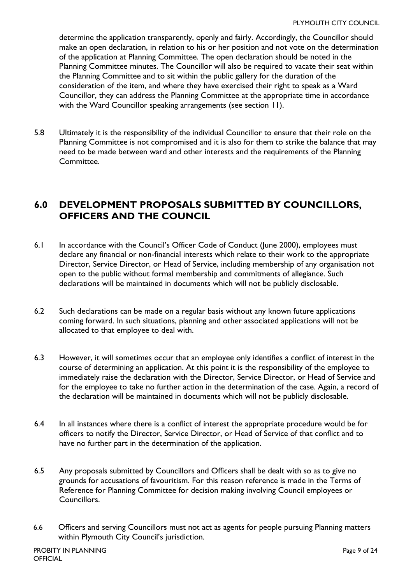determine the application transparently, openly and fairly. Accordingly, the Councillor should make an open declaration, in relation to his or her position and not vote on the determination of the application at Planning Committee. The open declaration should be noted in the Planning Committee minutes. The Councillor will also be required to vacate their seat within the Planning Committee and to sit within the public gallery for the duration of the consideration of the item, and where they have exercised their right to speak as a Ward Councillor, they can address the Planning Committee at the appropriate time in accordance with the Ward Councillor speaking arrangements (see section 11).

5.8 Ultimately it is the responsibility of the individual Councillor to ensure that their role on the Planning Committee is not compromised and it is also for them to strike the balance that may need to be made between ward and other interests and the requirements of the Planning Committee.

### <span id="page-8-0"></span>**6.0 DEVELOPMENT PROPOSALS SUBMITTED BY COUNCILLORS, OFFICERS AND THE COUNCIL**

- 6.1 In accordance with the Council's Officer Code of Conduct (June 2000), employees must declare any financial or non-financial interests which relate to their work to the appropriate Director, Service Director, or Head of Service, including membership of any organisation not open to the public without formal membership and commitments of allegiance. Such declarations will be maintained in documents which will not be publicly disclosable.
- 6.2 Such declarations can be made on a regular basis without any known future applications coming forward. In such situations, planning and other associated applications will not be allocated to that employee to deal with.
- 6.3 However, it will sometimes occur that an employee only identifies a conflict of interest in the course of determining an application. At this point it is the responsibility of the employee to immediately raise the declaration with the Director, Service Director, or Head of Service and for the employee to take no further action in the determination of the case. Again, a record of the declaration will be maintained in documents which will not be publicly disclosable.
- 6.4 In all instances where there is a conflict of interest the appropriate procedure would be for officers to notify the Director, Service Director, or Head of Service of that conflict and to have no further part in the determination of the application.
- 6.5 Any proposals submitted by Councillors and Officers shall be dealt with so as to give no grounds for accusations of favouritism. For this reason reference is made in the Terms of Reference for Planning Committee for decision making involving Council employees or Councillors.
- 6.6 Officers and serving Councillors must not act as agents for people pursuing Planning matters within Plymouth City Council's jurisdiction.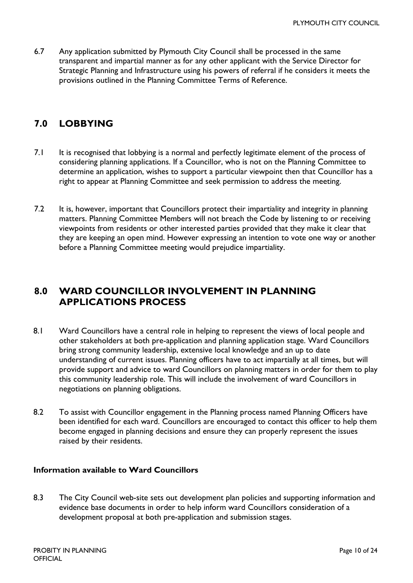6.7 Any application submitted by Plymouth City Council shall be processed in the same transparent and impartial manner as for any other applicant with the Service Director for Strategic Planning and Infrastructure using his powers of referral if he considers it meets the provisions outlined in the Planning Committee Terms of Reference.

### <span id="page-9-0"></span>**7.0 LOBBYING**

- 7.1 It is recognised that lobbying is a normal and perfectly legitimate element of the process of considering planning applications. If a Councillor, who is not on the Planning Committee to determine an application, wishes to support a particular viewpoint then that Councillor has a right to appear at Planning Committee and seek permission to address the meeting.
- 7.2 It is, however, important that Councillors protect their impartiality and integrity in planning matters. Planning Committee Members will not breach the Code by listening to or receiving viewpoints from residents or other interested parties provided that they make it clear that they are keeping an open mind. However expressing an intention to vote one way or another before a Planning Committee meeting would prejudice impartiality.

### <span id="page-9-1"></span>**8.0 WARD COUNCILLOR INVOLVEMENT IN PLANNING APPLICATIONS PROCESS**

- 8.1 Ward Councillors have a central role in helping to represent the views of local people and other stakeholders at both pre-application and planning application stage. Ward Councillors bring strong community leadership, extensive local knowledge and an up to date understanding of current issues. Planning officers have to act impartially at all times, but will provide support and advice to ward Councillors on planning matters in order for them to play this community leadership role. This will include the involvement of ward Councillors in negotiations on planning obligations.
- 8.2 To assist with Councillor engagement in the Planning process named Planning Officers have been identified for each ward. Councillors are encouraged to contact this officer to help them become engaged in planning decisions and ensure they can properly represent the issues raised by their residents.

#### **Information available to Ward Councillors**

8.3 The City Council web-site sets out development plan policies and supporting information and evidence base documents in order to help inform ward Councillors consideration of a development proposal at both pre-application and submission stages.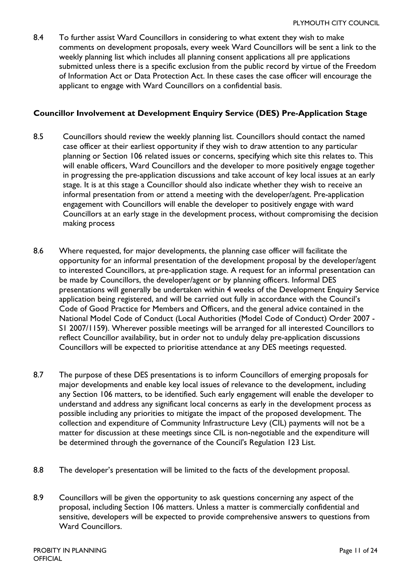8.4 To further assist Ward Councillors in considering to what extent they wish to make comments on development proposals, every week Ward Councillors will be sent a link to the weekly planning list which includes all planning consent applications all pre applications submitted unless there is a specific exclusion from the public record by virtue of the Freedom of Information Act or Data Protection Act. In these cases the case officer will encourage the applicant to engage with Ward Councillors on a confidential basis.

#### **Councillor Involvement at Development Enquiry Service (DES) Pre-Application Stage**

- 8.5 Councillors should review the weekly planning list. Councillors should contact the named case officer at their earliest opportunity if they wish to draw attention to any particular planning or Section 106 related issues or concerns, specifying which site this relates to. This will enable officers, Ward Councillors and the developer to more positively engage together in progressing the pre-application discussions and take account of key local issues at an early stage. It is at this stage a Councillor should also indicate whether they wish to receive an informal presentation from or attend a meeting with the developer/agent. Pre-application engagement with Councillors will enable the developer to positively engage with ward Councillors at an early stage in the development process, without compromising the decision making process
- 8.6 Where requested, for major developments, the planning case officer will facilitate the opportunity for an informal presentation of the development proposal by the developer/agent to interested Councillors, at pre-application stage. A request for an informal presentation can be made by Councillors, the developer/agent or by planning officers. Informal DES presentations will generally be undertaken within 4 weeks of the Development Enquiry Service application being registered, and will be carried out fully in accordance with the Council's Code of Good Practice for Members and Officers, and the general advice contained in the National Model Code of Conduct (Local Authorities (Model Code of Conduct) Order 2007 - S1 2007/1159). Wherever possible meetings will be arranged for all interested Councillors to reflect Councillor availability, but in order not to unduly delay pre-application discussions Councillors will be expected to prioritise attendance at any DES meetings requested.
- 8.7 The purpose of these DES presentations is to inform Councillors of emerging proposals for major developments and enable key local issues of relevance to the development, including any Section 106 matters, to be identified. Such early engagement will enable the developer to understand and address any significant local concerns as early in the development process as possible including any priorities to mitigate the impact of the proposed development. The collection and expenditure of Community Infrastructure Levy (CIL) payments will not be a matter for discussion at these meetings since CIL is non-negotiable and the expenditure will be determined through the governance of the Council's Regulation 123 List.
- 8.8 The developer's presentation will be limited to the facts of the development proposal.
- 8.9 Councillors will be given the opportunity to ask questions concerning any aspect of the proposal, including Section 106 matters. Unless a matter is commercially confidential and sensitive, developers will be expected to provide comprehensive answers to questions from Ward Councillors.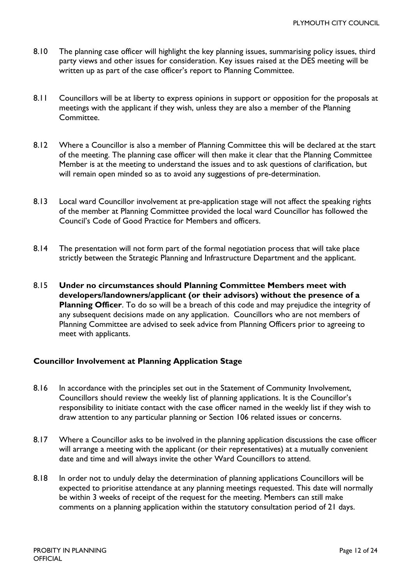- 8.10 The planning case officer will highlight the key planning issues, summarising policy issues, third party views and other issues for consideration. Key issues raised at the DES meeting will be written up as part of the case officer's report to Planning Committee.
- 8.11 Councillors will be at liberty to express opinions in support or opposition for the proposals at meetings with the applicant if they wish, unless they are also a member of the Planning Committee.
- 8.12 Where a Councillor is also a member of Planning Committee this will be declared at the start of the meeting. The planning case officer will then make it clear that the Planning Committee Member is at the meeting to understand the issues and to ask questions of clarification, but will remain open minded so as to avoid any suggestions of pre-determination.
- 8.13 Local ward Councillor involvement at pre-application stage will not affect the speaking rights of the member at Planning Committee provided the local ward Councillor has followed the Council's Code of Good Practice for Members and officers.
- 8.14 The presentation will not form part of the formal negotiation process that will take place strictly between the Strategic Planning and Infrastructure Department and the applicant.
- 8.15 **Under no circumstances should Planning Committee Members meet with developers/landowners/applicant (or their advisors) without the presence of a Planning Officer**. To do so will be a breach of this code and may prejudice the integrity of any subsequent decisions made on any application. Councillors who are not members of Planning Committee are advised to seek advice from Planning Officers prior to agreeing to meet with applicants.

#### **Councillor Involvement at Planning Application Stage**

- 8.16 In accordance with the principles set out in the Statement of Community Involvement, Councillors should review the weekly list of planning applications. It is the Councillor's responsibility to initiate contact with the case officer named in the weekly list if they wish to draw attention to any particular planning or Section 106 related issues or concerns.
- 8.17 Where a Councillor asks to be involved in the planning application discussions the case officer will arrange a meeting with the applicant (or their representatives) at a mutually convenient date and time and will always invite the other Ward Councillors to attend.
- 8.18 In order not to unduly delay the determination of planning applications Councillors will be expected to prioritise attendance at any planning meetings requested. This date will normally be within 3 weeks of receipt of the request for the meeting. Members can still make comments on a planning application within the statutory consultation period of 21 days.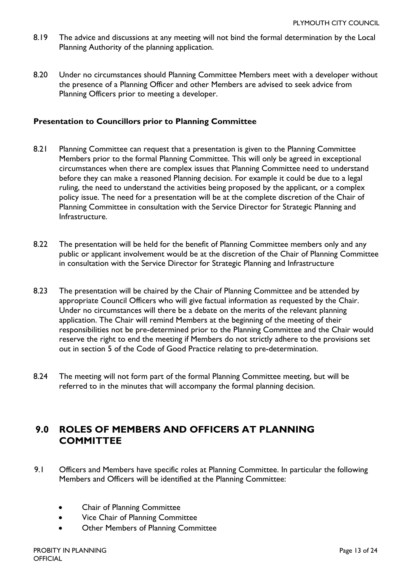- 8.19 The advice and discussions at any meeting will not bind the formal determination by the Local Planning Authority of the planning application.
- 8.20 Under no circumstances should Planning Committee Members meet with a developer without the presence of a Planning Officer and other Members are advised to seek advice from Planning Officers prior to meeting a developer.

#### **Presentation to Councillors prior to Planning Committee**

- 8.21 Planning Committee can request that a presentation is given to the Planning Committee Members prior to the formal Planning Committee. This will only be agreed in exceptional circumstances when there are complex issues that Planning Committee need to understand before they can make a reasoned Planning decision. For example it could be due to a legal ruling, the need to understand the activities being proposed by the applicant, or a complex policy issue. The need for a presentation will be at the complete discretion of the Chair of Planning Committee in consultation with the Service Director for Strategic Planning and Infrastructure.
- 8.22 The presentation will be held for the benefit of Planning Committee members only and any public or applicant involvement would be at the discretion of the Chair of Planning Committee in consultation with the Service Director for Strategic Planning and Infrastructure
- 8.23 The presentation will be chaired by the Chair of Planning Committee and be attended by appropriate Council Officers who will give factual information as requested by the Chair. Under no circumstances will there be a debate on the merits of the relevant planning application. The Chair will remind Members at the beginning of the meeting of their responsibilities not be pre-determined prior to the Planning Committee and the Chair would reserve the right to end the meeting if Members do not strictly adhere to the provisions set out in section 5 of the Code of Good Practice relating to pre-determination.
- 8.24 The meeting will not form part of the formal Planning Committee meeting, but will be referred to in the minutes that will accompany the formal planning decision.

### <span id="page-12-0"></span>**9.0 ROLES OF MEMBERS AND OFFICERS AT PLANNING COMMITTEE**

- 9.1 Officers and Members have specific roles at Planning Committee. In particular the following Members and Officers will be identified at the Planning Committee:
	- Chair of Planning Committee
	- Vice Chair of Planning Committee
	- Other Members of Planning Committee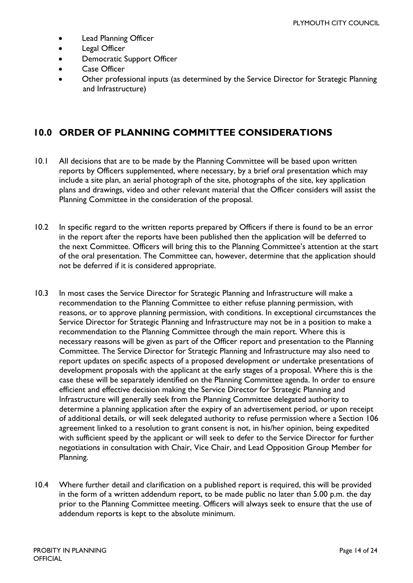- Lead Planning Officer
- Legal Officer
- Democratic Support Officer
- Case Officer
- Other professional inputs (as determined by the Service Director for Strategic Planning and Infrastructure)

### <span id="page-13-0"></span>**10.0 ORDER OF PLANNING COMMITTEE CONSIDERATIONS**

- 10.1 All decisions that are to be made by the Planning Committee will be based upon written reports by Officers supplemented, where necessary, by a brief oral presentation which may include a site plan, an aerial photograph of the site, photographs of the site, key application plans and drawings, video and other relevant material that the Officer considers will assist the Planning Committee in the consideration of the proposal.
- 10.2 In specific regard to the written reports prepared by Officers if there is found to be an error in the report after the reports have been published then the application will be deferred to the next Committee. Officers will bring this to the Planning Committee's attention at the start of the oral presentation. The Committee can, however, determine that the application should not be deferred if it is considered appropriate.
- 10.3 In most cases the Service Director for Strategic Planning and Infrastructure will make a recommendation to the Planning Committee to either refuse planning permission, with reasons, or to approve planning permission, with conditions. In exceptional circumstances the Service Director for Strategic Planning and Infrastructure may not be in a position to make a recommendation to the Planning Committee through the main report. Where this is necessary reasons will be given as part of the Officer report and presentation to the Planning Committee. The Service Director for Strategic Planning and Infrastructure may also need to report updates on specific aspects of a proposed development or undertake presentations of development proposals with the applicant at the early stages of a proposal. Where this is the case these will be separately identified on the Planning Committee agenda. In order to ensure efficient and effective decision making the Service Director for Strategic Planning and Infrastructure will generally seek from the Planning Committee delegated authority to determine a planning application after the expiry of an advertisement period, or upon receipt of additional details, or will seek delegated authority to refuse permission where a Section 106 agreement linked to a resolution to grant consent is not, in his/her opinion, being expedited with sufficient speed by the applicant or will seek to defer to the Service Director for further negotiations in consultation with Chair, Vice Chair, and Lead Opposition Group Member for Planning.
- 10.4 Where further detail and clarification on a published report is required, this will be provided in the form of a written addendum report, to be made public no later than 5.00 p.m. the day prior to the Planning Committee meeting. Officers will always seek to ensure that the use of addendum reports is kept to the absolute minimum.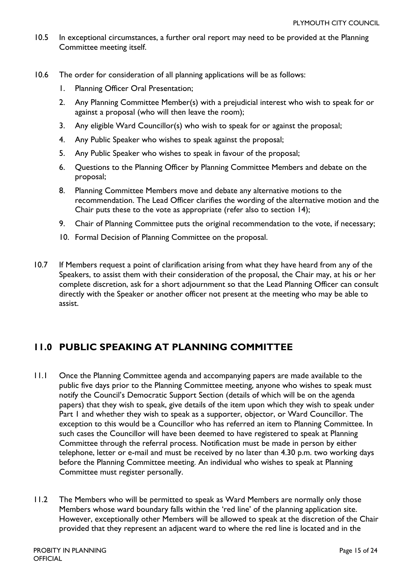- 10.5 In exceptional circumstances, a further oral report may need to be provided at the Planning Committee meeting itself.
- 10.6 The order for consideration of all planning applications will be as follows:
	- 1. Planning Officer Oral Presentation;
	- 2. Any Planning Committee Member(s) with a prejudicial interest who wish to speak for or against a proposal (who will then leave the room);
	- 3. Any eligible Ward Councillor(s) who wish to speak for or against the proposal;
	- 4. Any Public Speaker who wishes to speak against the proposal;
	- 5. Any Public Speaker who wishes to speak in favour of the proposal;
	- 6. Questions to the Planning Officer by Planning Committee Members and debate on the proposal;
	- 8. Planning Committee Members move and debate any alternative motions to the recommendation. The Lead Officer clarifies the wording of the alternative motion and the Chair puts these to the vote as appropriate (refer also to section 14);
	- 9. Chair of Planning Committee puts the original recommendation to the vote, if necessary;
	- 10. Formal Decision of Planning Committee on the proposal.
- 10.7 If Members request a point of clarification arising from what they have heard from any of the Speakers, to assist them with their consideration of the proposal, the Chair may, at his or her complete discretion, ask for a short adjournment so that the Lead Planning Officer can consult directly with the Speaker or another officer not present at the meeting who may be able to assist.

### <span id="page-14-0"></span>**11.0 PUBLIC SPEAKING AT PLANNING COMMITTEE**

- 11.1 Once the Planning Committee agenda and accompanying papers are made available to the public five days prior to the Planning Committee meeting, anyone who wishes to speak must notify the Council's Democratic Support Section (details of which will be on the agenda papers) that they wish to speak, give details of the item upon which they wish to speak under Part I and whether they wish to speak as a supporter, objector, or Ward Councillor. The exception to this would be a Councillor who has referred an item to Planning Committee. In such cases the Councillor will have been deemed to have registered to speak at Planning Committee through the referral process. Notification must be made in person by either telephone, letter or e-mail and must be received by no later than 4.30 p.m. two working days before the Planning Committee meeting. An individual who wishes to speak at Planning Committee must register personally.
- 11.2 The Members who will be permitted to speak as Ward Members are normally only those Members whose ward boundary falls within the 'red line' of the planning application site. However, exceptionally other Members will be allowed to speak at the discretion of the Chair provided that they represent an adjacent ward to where the red line is located and in the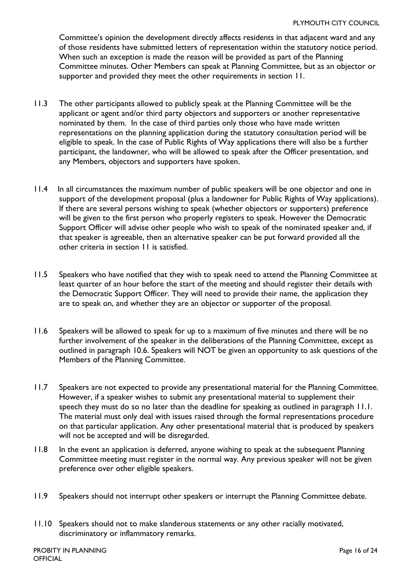Committee's opinion the development directly affects residents in that adjacent ward and any of those residents have submitted letters of representation within the statutory notice period. When such an exception is made the reason will be provided as part of the Planning Committee minutes. Other Members can speak at Planning Committee, but as an objector or supporter and provided they meet the other requirements in section 11.

- 11.3 The other participants allowed to publicly speak at the Planning Committee will be the applicant or agent and/or third party objectors and supporters or another representative nominated by them. In the case of third parties only those who have made written representations on the planning application during the statutory consultation period will be eligible to speak. In the case of Public Rights of Way applications there will also be a further participant, the landowner, who will be allowed to speak after the Officer presentation, and any Members, objectors and supporters have spoken.
- 11.4 In all circumstances the maximum number of public speakers will be one objector and one in support of the development proposal (plus a landowner for Public Rights of Way applications). If there are several persons wishing to speak (whether objectors or supporters) preference will be given to the first person who properly registers to speak. However the Democratic Support Officer will advise other people who wish to speak of the nominated speaker and, if that speaker is agreeable, then an alternative speaker can be put forward provided all the other criteria in section 11 is satisfied.
- 11.5 Speakers who have notified that they wish to speak need to attend the Planning Committee at least quarter of an hour before the start of the meeting and should register their details with the Democratic Support Officer. They will need to provide their name, the application they are to speak on, and whether they are an objector or supporter of the proposal.
- 11.6 Speakers will be allowed to speak for up to a maximum of five minutes and there will be no further involvement of the speaker in the deliberations of the Planning Committee, except as outlined in paragraph 10.6. Speakers will NOT be given an opportunity to ask questions of the Members of the Planning Committee.
- 11.7 Speakers are not expected to provide any presentational material for the Planning Committee. However, if a speaker wishes to submit any presentational material to supplement their speech they must do so no later than the deadline for speaking as outlined in paragraph 11.1. The material must only deal with issues raised through the formal representations procedure on that particular application. Any other presentational material that is produced by speakers will not be accepted and will be disregarded.
- 11.8 In the event an application is deferred, anyone wishing to speak at the subsequent Planning Committee meeting must register in the normal way. Any previous speaker will not be given preference over other eligible speakers.
- 11.9 Speakers should not interrupt other speakers or interrupt the Planning Committee debate.
- 11.10 Speakers should not to make slanderous statements or any other racially motivated, discriminatory or inflammatory remarks.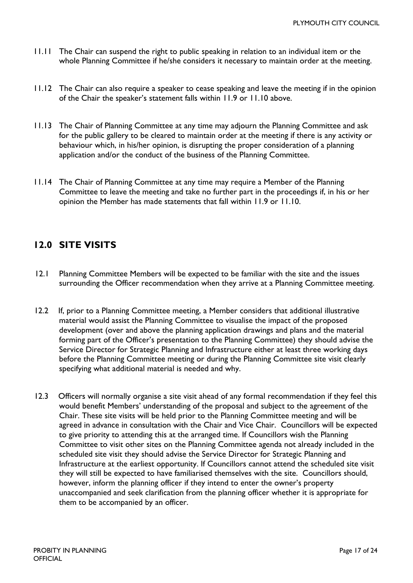- 11.11 The Chair can suspend the right to public speaking in relation to an individual item or the whole Planning Committee if he/she considers it necessary to maintain order at the meeting.
- 11.12 The Chair can also require a speaker to cease speaking and leave the meeting if in the opinion of the Chair the speaker's statement falls within 11.9 or 11.10 above.
- 11.13 The Chair of Planning Committee at any time may adjourn the Planning Committee and ask for the public gallery to be cleared to maintain order at the meeting if there is any activity or behaviour which, in his/her opinion, is disrupting the proper consideration of a planning application and/or the conduct of the business of the Planning Committee.
- 11.14 The Chair of Planning Committee at any time may require a Member of the Planning Committee to leave the meeting and take no further part in the proceedings if, in his or her opinion the Member has made statements that fall within 11.9 or 11.10.

### <span id="page-16-0"></span>**12.0 SITE VISITS**

- 12.1 Planning Committee Members will be expected to be familiar with the site and the issues surrounding the Officer recommendation when they arrive at a Planning Committee meeting.
- 12.2 If, prior to a Planning Committee meeting, a Member considers that additional illustrative material would assist the Planning Committee to visualise the impact of the proposed development (over and above the planning application drawings and plans and the material forming part of the Officer's presentation to the Planning Committee) they should advise the Service Director for Strategic Planning and Infrastructure either at least three working days before the Planning Committee meeting or during the Planning Committee site visit clearly specifying what additional material is needed and why.
- 12.3 Officers will normally organise a site visit ahead of any formal recommendation if they feel this would benefit Members' understanding of the proposal and subject to the agreement of the Chair. These site visits will be held prior to the Planning Committee meeting and will be agreed in advance in consultation with the Chair and Vice Chair. Councillors will be expected to give priority to attending this at the arranged time. If Councillors wish the Planning Committee to visit other sites on the Planning Committee agenda not already included in the scheduled site visit they should advise the Service Director for Strategic Planning and Infrastructure at the earliest opportunity. If Councillors cannot attend the scheduled site visit they will still be expected to have familiarised themselves with the site. Councillors should, however, inform the planning officer if they intend to enter the owner's property unaccompanied and seek clarification from the planning officer whether it is appropriate for them to be accompanied by an officer.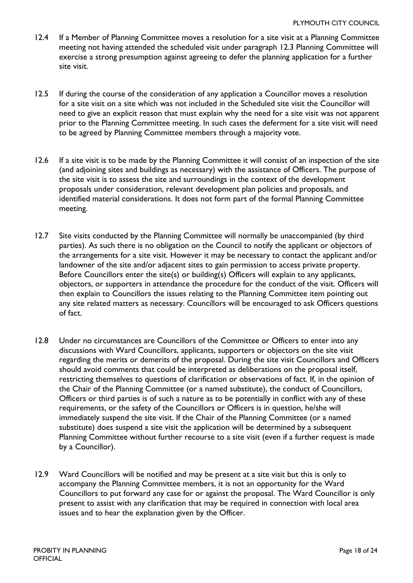- 12.4 If a Member of Planning Committee moves a resolution for a site visit at a Planning Committee meeting not having attended the scheduled visit under paragraph 12.3 Planning Committee will exercise a strong presumption against agreeing to defer the planning application for a further site visit.
- 12.5 If during the course of the consideration of any application a Councillor moves a resolution for a site visit on a site which was not included in the Scheduled site visit the Councillor will need to give an explicit reason that must explain why the need for a site visit was not apparent prior to the Planning Committee meeting. In such cases the deferment for a site visit will need to be agreed by Planning Committee members through a majority vote.
- 12.6 If a site visit is to be made by the Planning Committee it will consist of an inspection of the site (and adjoining sites and buildings as necessary) with the assistance of Officers. The purpose of the site visit is to assess the site and surroundings in the context of the development proposals under consideration, relevant development plan policies and proposals, and identified material considerations. It does not form part of the formal Planning Committee meeting.
- 12.7 Site visits conducted by the Planning Committee will normally be unaccompanied (by third parties). As such there is no obligation on the Council to notify the applicant or objectors of the arrangements for a site visit. However it may be necessary to contact the applicant and/or landowner of the site and/or adjacent sites to gain permission to access private property. Before Councillors enter the site(s) or building(s) Officers will explain to any applicants, objectors, or supporters in attendance the procedure for the conduct of the visit. Officers will then explain to Councillors the issues relating to the Planning Committee item pointing out any site related matters as necessary. Councillors will be encouraged to ask Officers questions of fact.
- 12.8 Under no circumstances are Councillors of the Committee or Officers to enter into any discussions with Ward Councillors, applicants, supporters or objectors on the site visit regarding the merits or demerits of the proposal. During the site visit Councillors and Officers should avoid comments that could be interpreted as deliberations on the proposal itself, restricting themselves to questions of clarification or observations of fact. If, in the opinion of the Chair of the Planning Committee (or a named substitute), the conduct of Councillors, Officers or third parties is of such a nature as to be potentially in conflict with any of these requirements, or the safety of the Councillors or Officers is in question, he/she will immediately suspend the site visit. If the Chair of the Planning Committee (or a named substitute) does suspend a site visit the application will be determined by a subsequent Planning Committee without further recourse to a site visit (even if a further request is made by a Councillor).
- 12.9 Ward Councillors will be notified and may be present at a site visit but this is only to accompany the Planning Committee members, it is not an opportunity for the Ward Councillors to put forward any case for or against the proposal. The Ward Councillor is only present to assist with any clarification that may be required in connection with local area issues and to hear the explanation given by the Officer.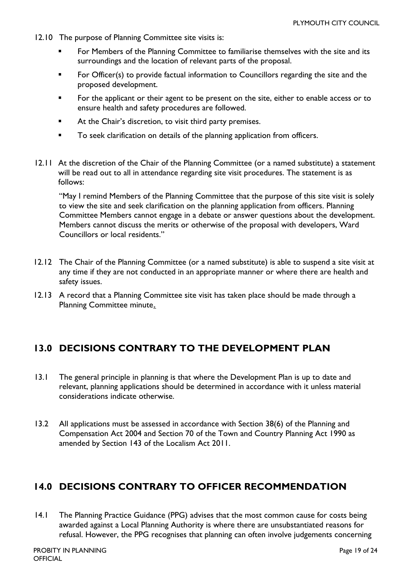- 12.10 The purpose of Planning Committee site visits is:
	- For Members of the Planning Committee to familiarise themselves with the site and its surroundings and the location of relevant parts of the proposal.
	- **For Officer(s) to provide factual information to Councillors regarding the site and the** proposed development.
	- For the applicant or their agent to be present on the site, either to enable access or to ensure health and safety procedures are followed.
	- At the Chair's discretion, to visit third party premises.
	- To seek clarification on details of the planning application from officers.
- 12.11 At the discretion of the Chair of the Planning Committee (or a named substitute) a statement will be read out to all in attendance regarding site visit procedures. The statement is as follows:

"May I remind Members of the Planning Committee that the purpose of this site visit is solely to view the site and seek clarification on the planning application from officers. Planning Committee Members cannot engage in a debate or answer questions about the development. Members cannot discuss the merits or otherwise of the proposal with developers, Ward Councillors or local residents."

- 12.12 The Chair of the Planning Committee (or a named substitute) is able to suspend a site visit at any time if they are not conducted in an appropriate manner or where there are health and safety issues.
- 12.13 A record that a Planning Committee site visit has taken place should be made through a Planning Committee minute.

### <span id="page-18-0"></span>**13.0 DECISIONS CONTRARY TO THE DEVELOPMENT PLAN**

- 13.1 The general principle in planning is that where the Development Plan is up to date and relevant, planning applications should be determined in accordance with it unless material considerations indicate otherwise.
- 13.2 All applications must be assessed in accordance with Section 38(6) of the Planning and Compensation Act 2004 and Section 70 of the Town and Country Planning Act 1990 as amended by Section 143 of the Localism Act 2011.

### <span id="page-18-1"></span>**14.0 DECISIONS CONTRARY TO OFFICER RECOMMENDATION**

14.1 The Planning Practice Guidance (PPG) advises that the most common cause for costs being awarded against a Local Planning Authority is where there are unsubstantiated reasons for refusal. However, the PPG recognises that planning can often involve judgements concerning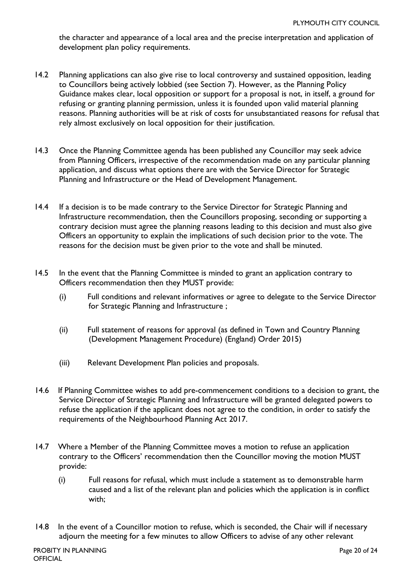the character and appearance of a local area and the precise interpretation and application of development plan policy requirements.

- 14.2 Planning applications can also give rise to local controversy and sustained opposition, leading to Councillors being actively lobbied (see Section 7). However, as the Planning Policy Guidance makes clear, local opposition or support for a proposal is not, in itself, a ground for refusing or granting planning permission, unless it is founded upon valid material planning reasons. Planning authorities will be at risk of costs for unsubstantiated reasons for refusal that rely almost exclusively on local opposition for their justification.
- 14.3 Once the Planning Committee agenda has been published any Councillor may seek advice from Planning Officers, irrespective of the recommendation made on any particular planning application, and discuss what options there are with the Service Director for Strategic Planning and Infrastructure or the Head of Development Management.
- 14.4 If a decision is to be made contrary to the Service Director for Strategic Planning and Infrastructure recommendation, then the Councillors proposing, seconding or supporting a contrary decision must agree the planning reasons leading to this decision and must also give Officers an opportunity to explain the implications of such decision prior to the vote. The reasons for the decision must be given prior to the vote and shall be minuted.
- 14.5 In the event that the Planning Committee is minded to grant an application contrary to Officers recommendation then they MUST provide:
	- (i) Full conditions and relevant informatives or agree to delegate to the Service Director for Strategic Planning and Infrastructure ;
	- (ii) Full statement of reasons for approval (as defined in Town and Country Planning (Development Management Procedure) (England) Order 2015)
	- (iii) Relevant Development Plan policies and proposals.
- 14.6 If Planning Committee wishes to add pre-commencement conditions to a decision to grant, the Service Director of Strategic Planning and Infrastructure will be granted delegated powers to refuse the application if the applicant does not agree to the condition, in order to satisfy the requirements of the Neighbourhood Planning Act 2017.
- 14.7 Where a Member of the Planning Committee moves a motion to refuse an application contrary to the Officers' recommendation then the Councillor moving the motion MUST provide:
	- (i) Full reasons for refusal, which must include a statement as to demonstrable harm caused and a list of the relevant plan and policies which the application is in conflict with;
- 14.8 In the event of a Councillor motion to refuse, which is seconded, the Chair will if necessary adjourn the meeting for a few minutes to allow Officers to advise of any other relevant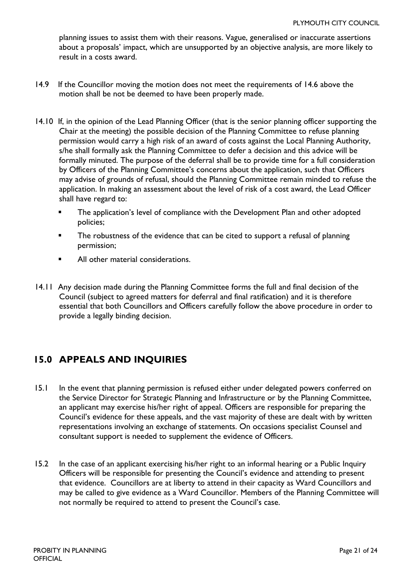planning issues to assist them with their reasons. Vague, generalised or inaccurate assertions about a proposals' impact, which are unsupported by an objective analysis, are more likely to result in a costs award.

- 14.9 If the Councillor moving the motion does not meet the requirements of 14.6 above the motion shall be not be deemed to have been properly made.
- 14.10 If, in the opinion of the Lead Planning Officer (that is the senior planning officer supporting the Chair at the meeting) the possible decision of the Planning Committee to refuse planning permission would carry a high risk of an award of costs against the Local Planning Authority, s/he shall formally ask the Planning Committee to defer a decision and this advice will be formally minuted. The purpose of the deferral shall be to provide time for a full consideration by Officers of the Planning Committee's concerns about the application, such that Officers may advise of grounds of refusal, should the Planning Committee remain minded to refuse the application. In making an assessment about the level of risk of a cost award, the Lead Officer shall have regard to:
	- The application's level of compliance with the Development Plan and other adopted policies;
	- **The robustness of the evidence that can be cited to support a refusal of planning** permission;
	- All other material considerations.
- 14.11 Any decision made during the Planning Committee forms the full and final decision of the Council (subject to agreed matters for deferral and final ratification) and it is therefore essential that both Councillors and Officers carefully follow the above procedure in order to provide a legally binding decision.

### <span id="page-20-0"></span>**15.0 APPEALS AND INQUIRIES**

- 15.1 In the event that planning permission is refused either under delegated powers conferred on the Service Director for Strategic Planning and Infrastructure or by the Planning Committee, an applicant may exercise his/her right of appeal. Officers are responsible for preparing the Council's evidence for these appeals, and the vast majority of these are dealt with by written representations involving an exchange of statements. On occasions specialist Counsel and consultant support is needed to supplement the evidence of Officers.
- 15.2 In the case of an applicant exercising his/her right to an informal hearing or a Public Inquiry Officers will be responsible for presenting the Council's evidence and attending to present that evidence. Councillors are at liberty to attend in their capacity as Ward Councillors and may be called to give evidence as a Ward Councillor. Members of the Planning Committee will not normally be required to attend to present the Council's case.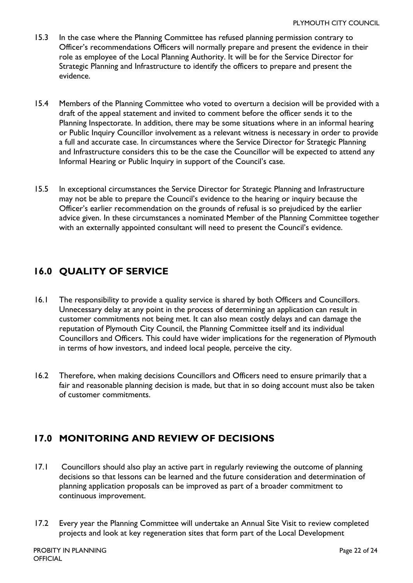- 15.3 In the case where the Planning Committee has refused planning permission contrary to Officer's recommendations Officers will normally prepare and present the evidence in their role as employee of the Local Planning Authority. It will be for the Service Director for Strategic Planning and Infrastructure to identify the officers to prepare and present the evidence.
- 15.4 Members of the Planning Committee who voted to overturn a decision will be provided with a draft of the appeal statement and invited to comment before the officer sends it to the Planning Inspectorate. In addition, there may be some situations where in an informal hearing or Public Inquiry Councillor involvement as a relevant witness is necessary in order to provide a full and accurate case. In circumstances where the Service Director for Strategic Planning and Infrastructure considers this to be the case the Councillor will be expected to attend any Informal Hearing or Public Inquiry in support of the Council's case.
- 15.5 In exceptional circumstances the Service Director for Strategic Planning and Infrastructure may not be able to prepare the Council's evidence to the hearing or inquiry because the Officer's earlier recommendation on the grounds of refusal is so prejudiced by the earlier advice given. In these circumstances a nominated Member of the Planning Committee together with an externally appointed consultant will need to present the Council's evidence.

## <span id="page-21-0"></span>**16.0 QUALITY OF SERVICE**

- 16.1 The responsibility to provide a quality service is shared by both Officers and Councillors. Unnecessary delay at any point in the process of determining an application can result in customer commitments not being met. It can also mean costly delays and can damage the reputation of Plymouth City Council, the Planning Committee itself and its individual Councillors and Officers. This could have wider implications for the regeneration of Plymouth in terms of how investors, and indeed local people, perceive the city.
- 16.2 Therefore, when making decisions Councillors and Officers need to ensure primarily that a fair and reasonable planning decision is made, but that in so doing account must also be taken of customer commitments.

### <span id="page-21-1"></span>**17.0 MONITORING AND REVIEW OF DECISIONS**

- 17.1 Councillors should also play an active part in regularly reviewing the outcome of planning decisions so that lessons can be learned and the future consideration and determination of planning application proposals can be improved as part of a broader commitment to continuous improvement.
- 17.2 Every year the Planning Committee will undertake an Annual Site Visit to review completed projects and look at key regeneration sites that form part of the Local Development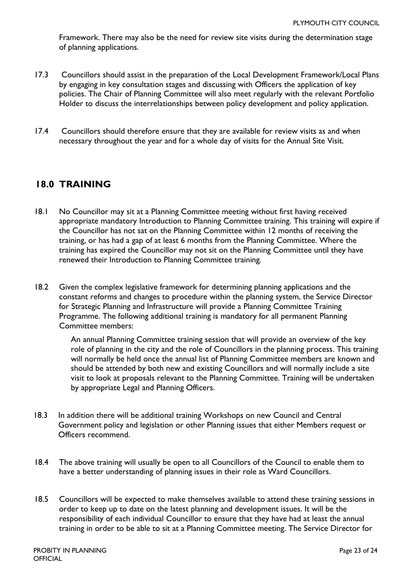Framework. There may also be the need for review site visits during the determination stage of planning applications.

- 17.3 Councillors should assist in the preparation of the Local Development Framework/Local Plans by engaging in key consultation stages and discussing with Officers the application of key policies. The Chair of Planning Committee will also meet regularly with the relevant Portfolio Holder to discuss the interrelationships between policy development and policy application.
- 17.4 Councillors should therefore ensure that they are available for review visits as and when necessary throughout the year and for a whole day of visits for the Annual Site Visit.

### <span id="page-22-0"></span>**18.0 TRAINING**

- 18.1 No Councillor may sit at a Planning Committee meeting without first having received appropriate mandatory Introduction to Planning Committee training. This training will expire if the Councillor has not sat on the Planning Committee within 12 months of receiving the training, or has had a gap of at least 6 months from the Planning Committee. Where the training has expired the Councillor may not sit on the Planning Committee until they have renewed their Introduction to Planning Committee training.
- 18.2 Given the complex legislative framework for determining planning applications and the constant reforms and changes to procedure within the planning system, the Service Director for Strategic Planning and Infrastructure will provide a Planning Committee Training Programme. The following additional training is mandatory for all permanent Planning Committee members:

An annual Planning Committee training session that will provide an overview of the key role of planning in the city and the role of Councillors in the planning process. This training will normally be held once the annual list of Planning Committee members are known and should be attended by both new and existing Councillors and will normally include a site visit to look at proposals relevant to the Planning Committee. Training will be undertaken by appropriate Legal and Planning Officers.

- 18.3 In addition there will be additional training Workshops on new Council and Central Government policy and legislation or other Planning issues that either Members request or Officers recommend.
- 18.4 The above training will usually be open to all Councillors of the Council to enable them to have a better understanding of planning issues in their role as Ward Councillors.
- 18.5 Councillors will be expected to make themselves available to attend these training sessions in order to keep up to date on the latest planning and development issues. It will be the responsibility of each individual Councillor to ensure that they have had at least the annual training in order to be able to sit at a Planning Committee meeting. The Service Director for